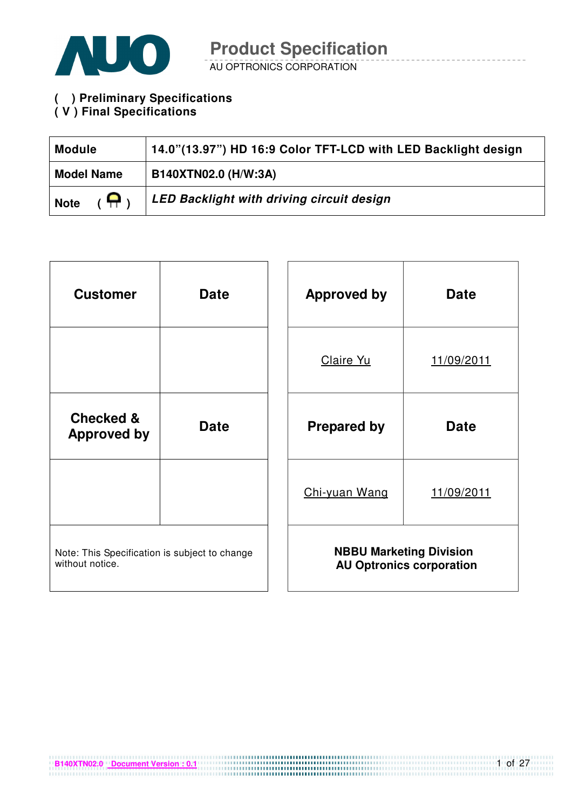

**( ) Preliminary Specifications ( V ) Final Specifications** 

| <b>Module</b>                | 14.0"(13.97") HD 16:9 Color TFT-LCD with LED Backlight design |
|------------------------------|---------------------------------------------------------------|
| <b>Model Name</b>            | B140XTN02.0 (H/W:3A)                                          |
| $(\bigoplus)$<br><b>Note</b> | LED Backlight with driving circuit design                     |

| <b>Customer</b>                                                  | <b>Date</b> | <b>Approved by</b> | <b>Date</b>                                                       |
|------------------------------------------------------------------|-------------|--------------------|-------------------------------------------------------------------|
|                                                                  |             | Claire Yu          | 11/09/2011                                                        |
| <b>Checked &amp;</b><br><b>Approved by</b>                       | <b>Date</b> | <b>Prepared by</b> | <b>Date</b>                                                       |
|                                                                  |             | Chi-yuan Wang      | 11/09/2011                                                        |
| Note: This Specification is subject to change<br>without notice. |             |                    | <b>NBBU Marketing Division</b><br><b>AU Optronics corporation</b> |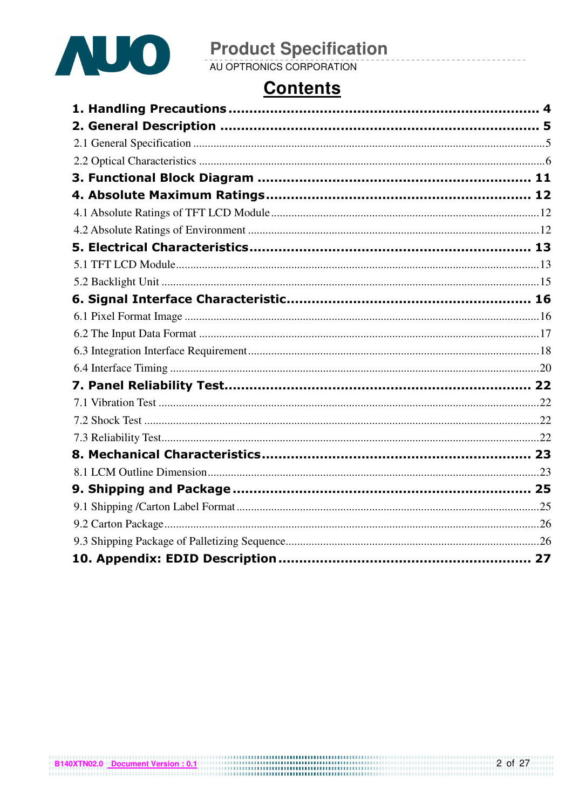

### **Contents**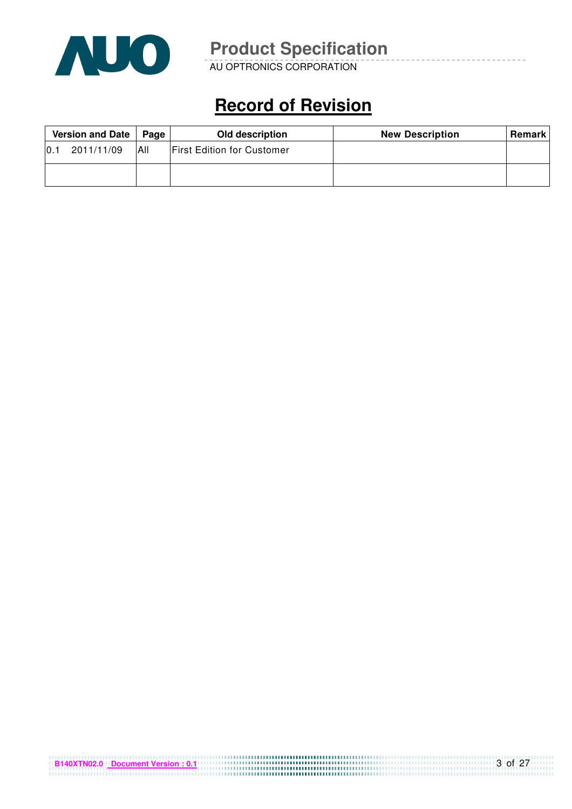

AU OPTRONICS CORPORATION

## **Record of Revision**

| Version and Date<br>Page |            |     | Old description                   | <b>New Description</b> | <b>Remark</b> I |
|--------------------------|------------|-----|-----------------------------------|------------------------|-----------------|
| 10.1                     | 2011/11/09 | All | <b>First Edition for Customer</b> |                        |                 |
|                          |            |     |                                   |                        |                 |

| B140XTN02.0 Document Version: 0.1 |  |
|-----------------------------------|--|
|                                   |  |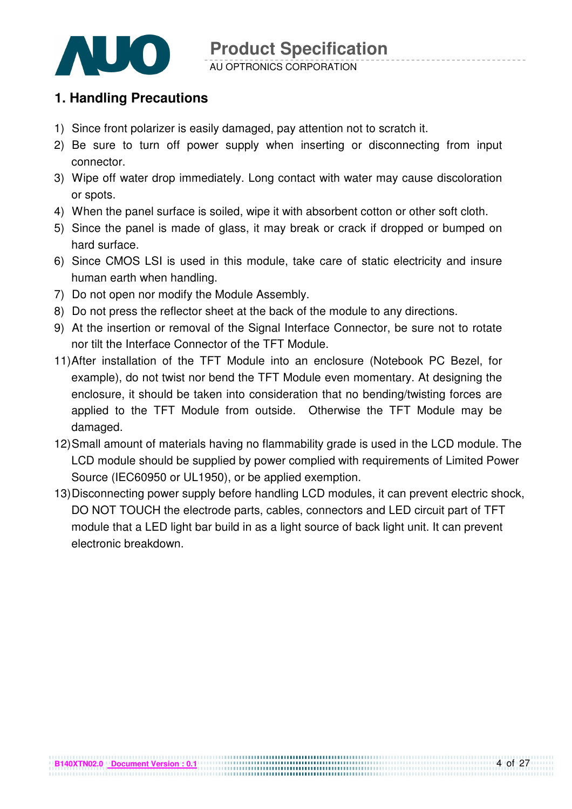

### **1. Handling Precautions**

- 1) Since front polarizer is easily damaged, pay attention not to scratch it.
- 2) Be sure to turn off power supply when inserting or disconnecting from input connector.
- 3) Wipe off water drop immediately. Long contact with water may cause discoloration or spots.
- 4) When the panel surface is soiled, wipe it with absorbent cotton or other soft cloth.
- 5) Since the panel is made of glass, it may break or crack if dropped or bumped on hard surface.
- 6) Since CMOS LSI is used in this module, take care of static electricity and insure human earth when handling.
- 7) Do not open nor modify the Module Assembly.
- 8) Do not press the reflector sheet at the back of the module to any directions.
- 9) At the insertion or removal of the Signal Interface Connector, be sure not to rotate nor tilt the Interface Connector of the TFT Module.
- 11) After installation of the TFT Module into an enclosure (Notebook PC Bezel, for example), do not twist nor bend the TFT Module even momentary. At designing the enclosure, it should be taken into consideration that no bending/twisting forces are applied to the TFT Module from outside. Otherwise the TFT Module may be damaged.
- 12) Small amount of materials having no flammability grade is used in the LCD module. The LCD module should be supplied by power complied with requirements of Limited Power Source (IEC60950 or UL1950), or be applied exemption.
- 13) Disconnecting power supply before handling LCD modules, it can prevent electric shock, DO NOT TOUCH the electrode parts, cables, connectors and LED circuit part of TFT module that a LED light bar build in as a light source of back light unit. It can prevent electronic breakdown.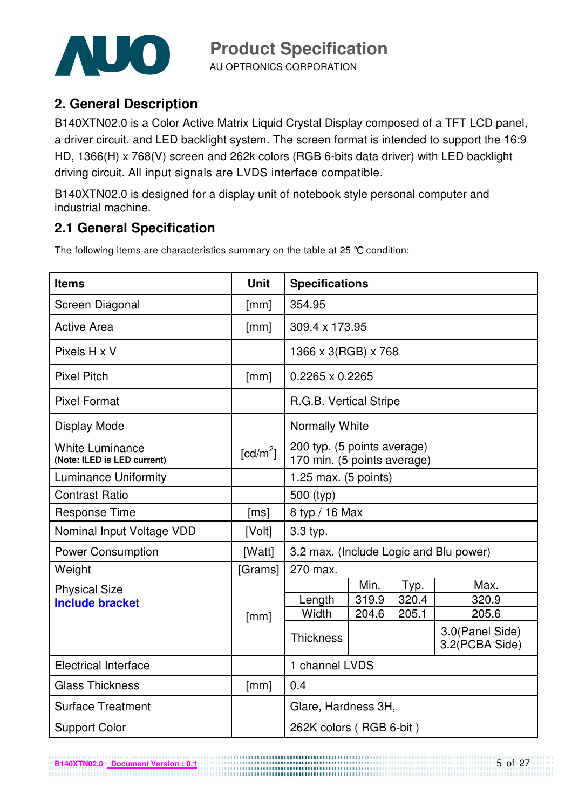

### **2. General Description**

B140XTN02.0 is a Color Active Matrix Liquid Crystal Display composed of a TFT LCD panel, a driver circuit, and LED backlight system. The screen format is intended to support the 16:9 HD, 1366(H) x 768(V) screen and 262k colors (RGB 6-bits data driver) with LED backlight driving circuit. All input signals are LVDS interface compatible.

B140XTN02.0 is designed for a display unit of notebook style personal computer and industrial machine.

### **2.1 General Specification**

The following items are characteristics summary on the table at 25 °C condition:

| <b>Items</b>                                          | <b>Unit</b>          | <b>Specifications</b>                                      |       |       |       |  |  |
|-------------------------------------------------------|----------------------|------------------------------------------------------------|-------|-------|-------|--|--|
| Screen Diagonal                                       | [mm]                 | 354.95                                                     |       |       |       |  |  |
| <b>Active Area</b>                                    | [mm]                 | 309.4 x 173.95                                             |       |       |       |  |  |
| Pixels H x V                                          |                      | 1366 x 3(RGB) x 768                                        |       |       |       |  |  |
| <b>Pixel Pitch</b>                                    | [mm]                 | $0.2265 \times 0.2265$                                     |       |       |       |  |  |
| <b>Pixel Format</b>                                   |                      | R.G.B. Vertical Stripe                                     |       |       |       |  |  |
| Display Mode                                          |                      | <b>Normally White</b>                                      |       |       |       |  |  |
| <b>White Luminance</b><br>(Note: ILED is LED current) | [cd/m <sup>2</sup> ] | 200 typ. (5 points average)<br>170 min. (5 points average) |       |       |       |  |  |
| <b>Luminance Uniformity</b>                           |                      | 1.25 max. $(5 \text{ points})$                             |       |       |       |  |  |
| <b>Contrast Ratio</b>                                 |                      | 500 (typ)                                                  |       |       |       |  |  |
| <b>Response Time</b>                                  | [ms]                 | 8 typ / 16 Max                                             |       |       |       |  |  |
| Nominal Input Voltage VDD                             | [Volt]               | 3.3 typ.                                                   |       |       |       |  |  |
| <b>Power Consumption</b>                              | [Watt]               | 3.2 max. (Include Logic and Blu power)                     |       |       |       |  |  |
| Weight                                                | [Grams]              | 270 max.                                                   |       |       |       |  |  |
| <b>Physical Size</b>                                  |                      |                                                            | Min.  | Typ.  | Max.  |  |  |
| <b>Include bracket</b>                                |                      | Length                                                     | 319.9 | 320.4 | 320.9 |  |  |
|                                                       | [mm]                 | Width                                                      | 204.6 | 205.1 | 205.6 |  |  |
|                                                       |                      | 3.0(Panel Side)<br><b>Thickness</b><br>3.2(PCBA Side)      |       |       |       |  |  |
| <b>Electrical Interface</b>                           |                      | 1 channel LVDS                                             |       |       |       |  |  |
| <b>Glass Thickness</b>                                | [mm]                 | 0.4                                                        |       |       |       |  |  |
| <b>Surface Treatment</b>                              |                      | Glare, Hardness 3H,                                        |       |       |       |  |  |
| <b>Support Color</b>                                  |                      | 262K colors (RGB 6-bit)                                    |       |       |       |  |  |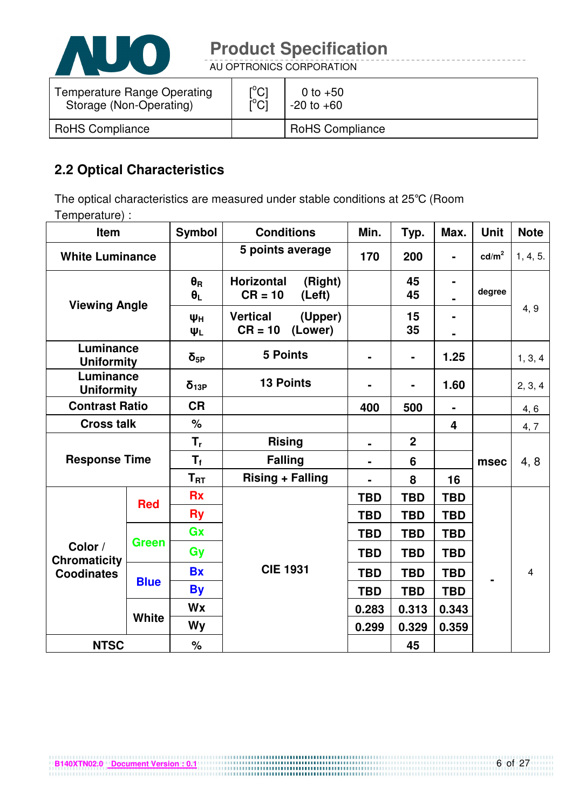

AU OPTRONICS CORPORATION

| Temperature Range Operating | $\mathsf{I}^\circ\mathsf{C}$ | 0 to $+50$             |
|-----------------------------|------------------------------|------------------------|
| Storage (Non-Operating)     | ΰCĪ                          | $-20$ to $+60$         |
| <b>RoHS Compliance</b>      |                              | <b>RoHS Compliance</b> |

### **2.2 Optical Characteristics**

The optical characteristics are measured under stable conditions at 25°C (Room Temperature) :

| Item                           |              | <b>Symbol</b>                  | <b>Conditions</b>                                   | Min.           | Typ.           | Max.           | <b>Unit</b>       | <b>Note</b>    |
|--------------------------------|--------------|--------------------------------|-----------------------------------------------------|----------------|----------------|----------------|-------------------|----------------|
| <b>White Luminance</b>         |              |                                | 5 points average                                    | 170            | 200            | $\blacksquare$ | cd/m <sup>2</sup> | 1, 4, 5.       |
| <b>Viewing Angle</b>           |              | $\theta_{\rm R}$<br>$\theta_L$ | <b>Horizontal</b><br>(Right)<br>$CR = 10$<br>(Left) |                | 45<br>45       |                | degree            |                |
|                                |              | Ψн<br>ΨL                       | <b>Vertical</b><br>(Upper)<br>$CR = 10$<br>(Lower)  |                | 15<br>35       | $\blacksquare$ |                   | 4, 9           |
| Luminance<br><b>Uniformity</b> |              | $\delta_{5P}$                  | <b>5 Points</b>                                     |                | $\blacksquare$ | 1.25           |                   | 1, 3, 4        |
| Luminance<br><b>Uniformity</b> |              | $\delta_{13P}$                 | <b>13 Points</b>                                    |                |                | 1.60           |                   | 2, 3, 4        |
| <b>Contrast Ratio</b>          |              | <b>CR</b>                      |                                                     | 400            | 500            |                |                   | 4, 6           |
| <b>Cross talk</b>              |              | %                              |                                                     |                |                | 4              |                   | 4, 7           |
|                                |              | $\mathsf{T}_\mathsf{r}$        | <b>Rising</b>                                       | $\blacksquare$ | $\overline{2}$ |                |                   |                |
| <b>Response Time</b>           |              | $T_{\rm f}$                    | <b>Falling</b>                                      | $\blacksquare$ | 6              |                | msec              | 4, 8           |
|                                |              | $T_{RT}$                       | <b>Rising + Falling</b>                             |                | 8              | 16             |                   |                |
|                                | <b>Red</b>   | <b>Rx</b>                      |                                                     | <b>TBD</b>     | <b>TBD</b>     | <b>TBD</b>     |                   |                |
|                                |              | <b>Ry</b>                      |                                                     | <b>TBD</b>     | <b>TBD</b>     | <b>TBD</b>     |                   |                |
|                                | <b>Green</b> | Gx                             |                                                     | <b>TBD</b>     | <b>TBD</b>     | <b>TBD</b>     |                   |                |
| Color /<br><b>Chromaticity</b> |              | Gy                             |                                                     | <b>TBD</b>     | <b>TBD</b>     | <b>TBD</b>     |                   |                |
| <b>Coodinates</b>              |              | <b>Bx</b>                      | <b>CIE 1931</b>                                     | <b>TBD</b>     | <b>TBD</b>     | <b>TBD</b>     |                   | $\overline{4}$ |
|                                | <b>Blue</b>  | <b>By</b>                      |                                                     | <b>TBD</b>     | <b>TBD</b>     | <b>TBD</b>     |                   |                |
|                                |              | <b>Wx</b>                      |                                                     | 0.283          | 0.313          | 0.343          |                   |                |
|                                | <b>White</b> | Wy                             |                                                     | 0.299          | 0.329          | 0.359          |                   |                |
| <b>NTSC</b>                    |              | %                              |                                                     |                | 45             |                |                   |                |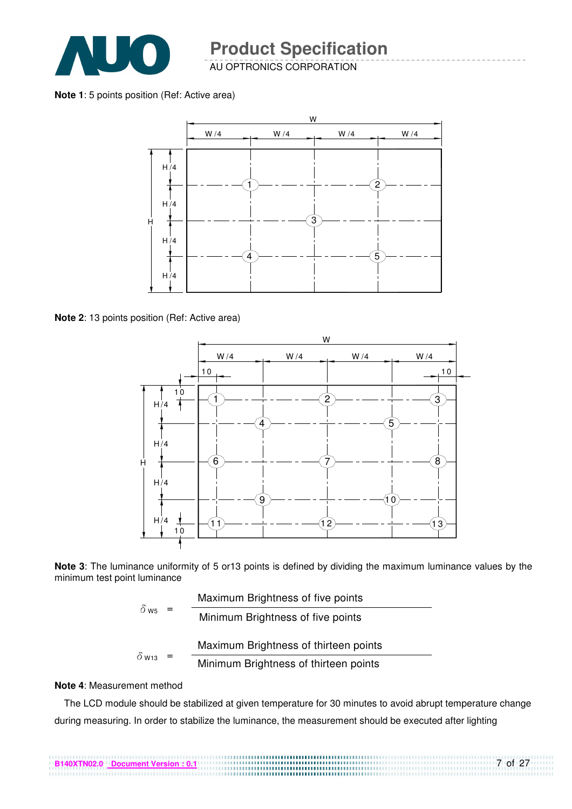

**Note 1**: 5 points position (Ref: Active area)



**Note 2**: 13 points position (Ref: Active area)



**Note 3**: The luminance uniformity of 5 or13 points is defined by dividing the maximum luminance values by the minimum test point luminance

|                         | Maximum Brightness of five points     |
|-------------------------|---------------------------------------|
| $\delta$ W <sub>5</sub> | Minimum Brightness of five points     |
|                         | Maximum Brightness of thirteen points |
| $\delta$ W13            | Minimum Brightness of thirteen points |

#### **Note 4**: Measurement method

The LCD module should be stabilized at given temperature for 30 minutes to avoid abrupt temperature change during measuring. In order to stabilize the luminance, the measurement should be executed after lighting

7 of 27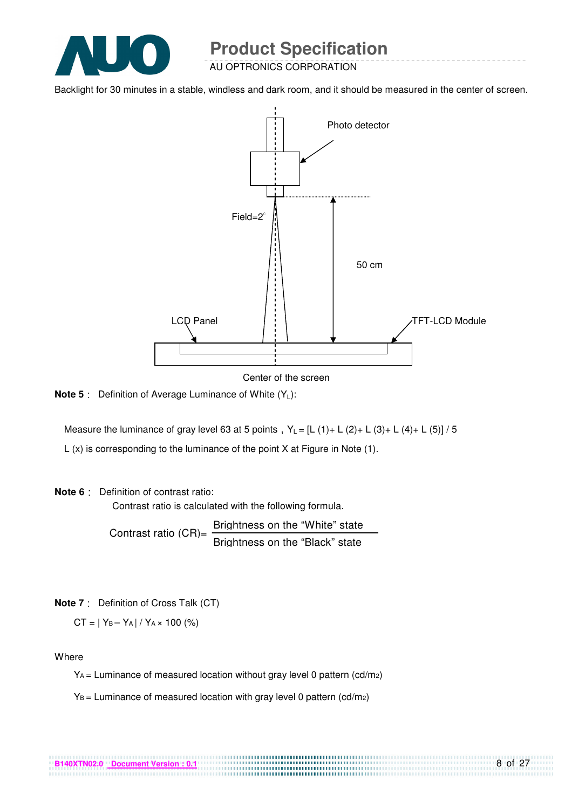

AU OPTRONICS CORPORATION

Backlight for 30 minutes in a stable, windless and dark room, and it should be measured in the center of screen.



Center of the screen

**Note 5** : Definition of Average Luminance of White (Y<sub>1</sub>):

Measure the luminance of gray level 63 at 5 points,  $Y_L = [L (1) + L (2) + L (3) + L (4) + L (5)] / 5$ 

L (x) is corresponding to the luminance of the point X at Figure in Note (1).

#### **Note 6** Definition of contrast ratio:

Contrast ratio is calculated with the following formula.

Contrast ratio  $(CR)$ = Brightness on the "White" state Brightness on the "Black" state

**Note 7** Definition of Cross Talk (CT)

 $CT = |Y_B - Y_A| / Y_A \times 100$  (%)

Where

YA = Luminance of measured location without gray level 0 pattern (cd/m2)

....................................

 $Y_B$  = Luminance of measured location with gray level 0 pattern (cd/m2)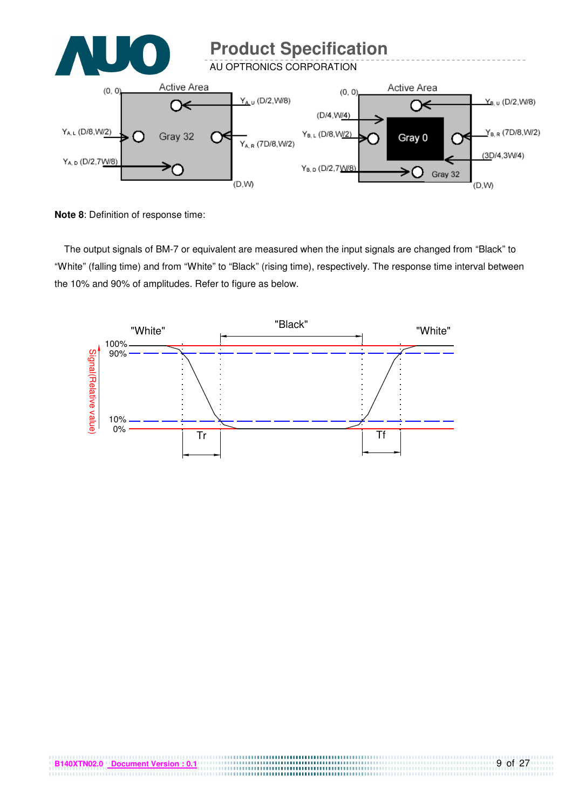

**Note 8**: Definition of response time:

The output signals of BM-7 or equivalent are measured when the input signals are changed from "Black" to "White" (falling time) and from "White" to "Black" (rising time), respectively. The response time interval between the 10% and 90% of amplitudes. Refer to figure as below.



. . . . . . . . . . . . . . . . . . . .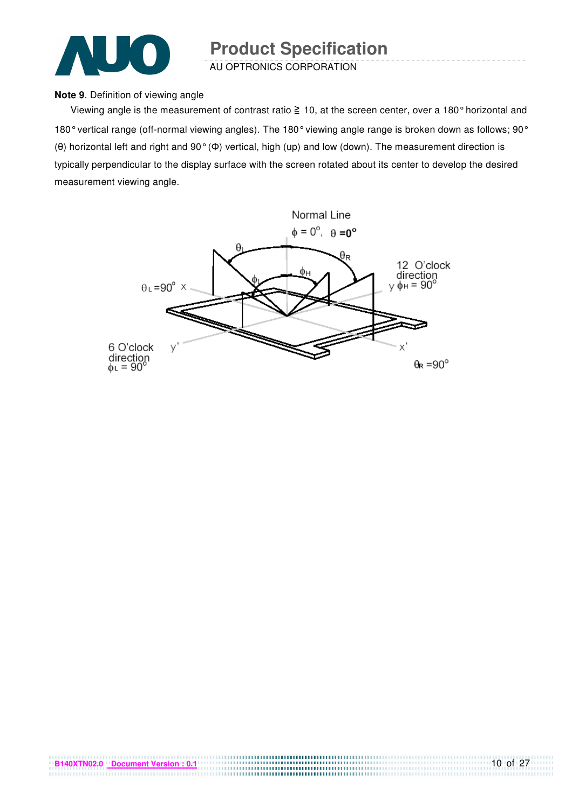

#### **Note 9**. Definition of viewing angle

Viewing angle is the measurement of contrast ratio  $\geq 10$ , at the screen center, over a 180° horizontal and 180° vertical range (off-normal viewing angles). The 180° viewing angle range is broken down as follows; 90° (θ) horizontal left and right and 90° (Φ) vertical, high (up) and low (down). The measurement direction is typically perpendicular to the display surface with the screen rotated about its center to develop the desired measurement viewing angle.

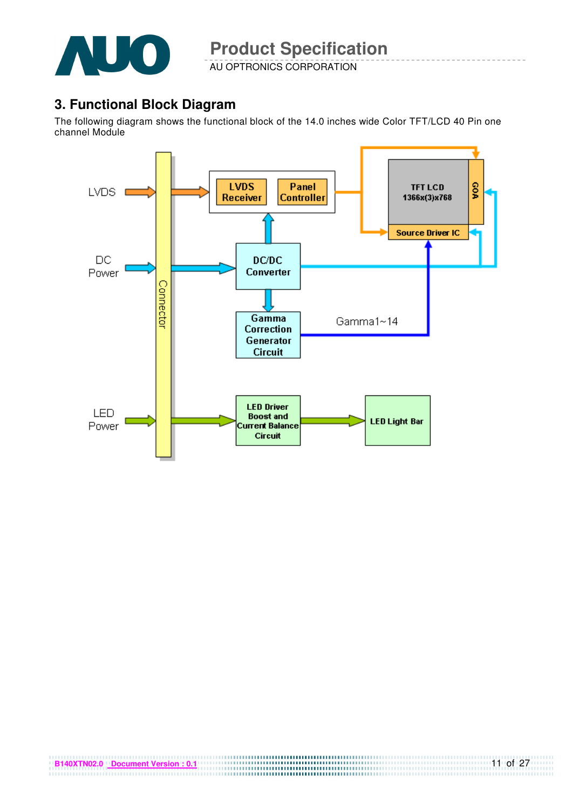

### **3. Functional Block Diagram**

The following diagram shows the functional block of the 14.0 inches wide Color TFT/LCD 40 Pin one channel Module

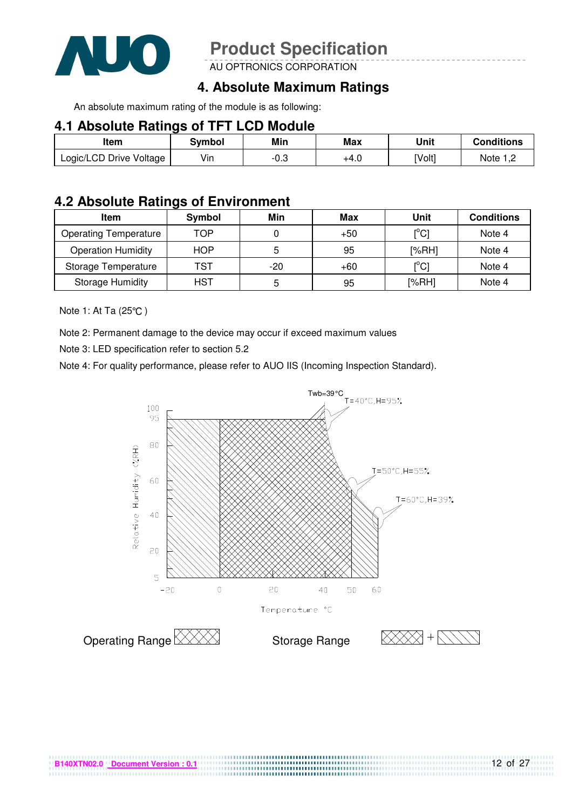

AU OPTRONICS CORPORATION

### **4. Absolute Maximum Ratings**

An absolute maximum rating of the module is as following:

#### **4.1 Absolute Ratings of TFT LCD Module**

| Item                    | Symbol | Min  | Max  | Unit   | <b>Conditions</b> |
|-------------------------|--------|------|------|--------|-------------------|
| Logic/LCD Drive Voltage | Vin    | -0.3 | +4.0 | [Volt] | Note 1 C          |

### **4.2 Absolute Ratings of Environment**

| Item                         | Symbol | Min | Max   | Unit                                    | <b>Conditions</b> |
|------------------------------|--------|-----|-------|-----------------------------------------|-------------------|
| <b>Operating Temperature</b> | TOP    |     | $+50$ | [°C]                                    | Note 4            |
| <b>Operation Humidity</b>    | HOP    |     | 95    | [%RH]                                   | Note 4            |
| Storage Temperature          | TST    | -20 | $+60$ | $\mathsf{I}^\circ\mathsf{C} \mathsf{I}$ | Note 4            |
| <b>Storage Humidity</b>      | HST    |     | 95    | [%RH]                                   | Note 4            |

Note 1: At Ta (25°C)

Note 2: Permanent damage to the device may occur if exceed maximum values

Note 3: LED specification refer to section 5.2

Note 4: For quality performance, please refer to AUO IIS (Incoming Inspection Standard).



.................................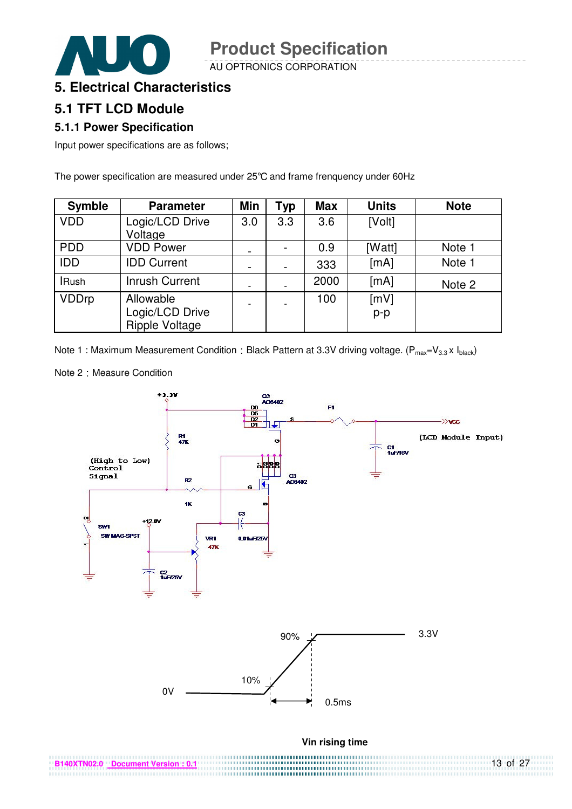AU OPTRONICS CORPORATION

### **5. Electrical Characteristics**

### **5.1 TFT LCD Module**

#### **5.1.1 Power Specification**

Input power specifications are as follows;

The power specification are measured under 25°C and frame frenquency under 60Hz

| <b>Symble</b> | <b>Parameter</b>      | <b>Min</b> | <b>Typ</b> | <b>Max</b> | <b>Units</b> | <b>Note</b> |
|---------------|-----------------------|------------|------------|------------|--------------|-------------|
| <b>VDD</b>    | Logic/LCD Drive       | 3.0        | 3.3        | 3.6        | [Volt]       |             |
|               | Voltage               |            |            |            |              |             |
| <b>PDD</b>    | <b>VDD Power</b>      |            |            | 0.9        | [Watt]       | Note 1      |
| <b>IDD</b>    | <b>IDD Current</b>    |            |            | 333        | [mA]         | Note 1      |
| <b>IRush</b>  | <b>Inrush Current</b> |            |            | 2000       | [mA]         | Note 2      |
| <b>VDDrp</b>  | Allowable             |            |            | 100        | [mV]         |             |
|               | Logic/LCD Drive       |            |            |            | $p-p$        |             |
|               | <b>Ripple Voltage</b> |            |            |            |              |             |

Note 1 : Maximum Measurement Condition : Black Pattern at 3.3V driving voltage. ( $P_{max}=V_{3.3} \times I_{black}$ )

Note 2 : Measure Condition

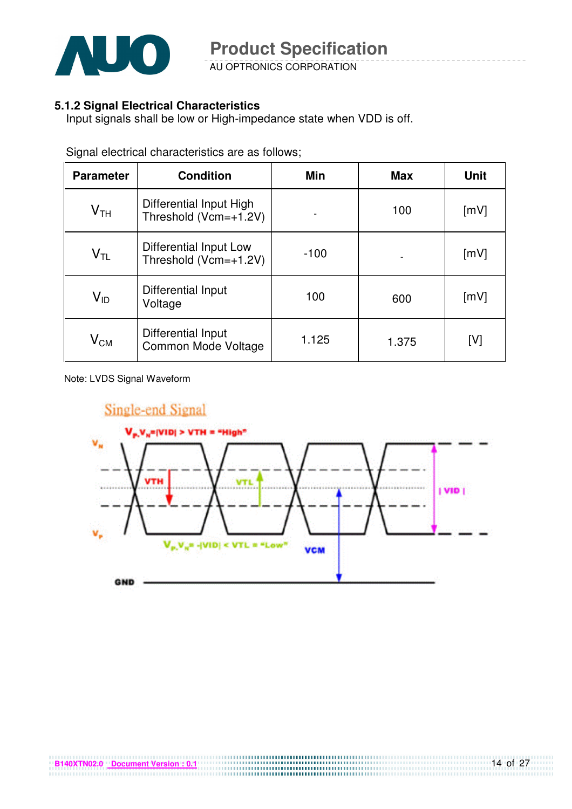

AU OPTRONICS CORPORATION

#### **5.1.2 Signal Electrical Characteristics**

Input signals shall be low or High-impedance state when VDD is off.

| <b>Parameter</b>           | <b>Condition</b>                                 | <b>Min</b> | <b>Max</b> | <b>Unit</b> |
|----------------------------|--------------------------------------------------|------------|------------|-------------|
| $V_{TH}$                   | Differential Input High<br>Threshold (Vcm=+1.2V) |            | 100        | [mV]        |
| $\mathsf{V}_{\mathsf{TL}}$ | Differential Input Low<br>Threshold (Vcm=+1.2V)  | $-100$     |            | [mV]        |
| $V_{ID}$                   | Differential Input<br>Voltage                    | 100        | 600        | [mV]        |
| $\mathsf{V}_{\mathsf{CM}}$ | Differential Input<br>Common Mode Voltage        | 1.125      | 1.375      | [V]         |

Signal electrical characteristics are as follows;

Note: LVDS Signal Waveform

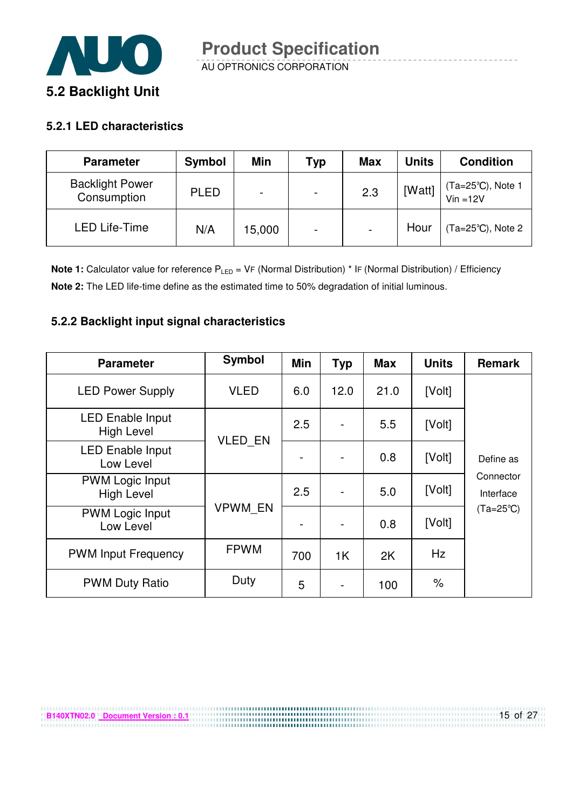

#### **5.2.1 LED characteristics**

**B140XTN02.0 Document Version : 0.1**

| <b>Parameter</b>                      | <b>Symbol</b> | Min                      | <b>Typ</b>               | <b>Max</b>               | <b>Units</b> | <b>Condition</b>              |
|---------------------------------------|---------------|--------------------------|--------------------------|--------------------------|--------------|-------------------------------|
| <b>Backlight Power</b><br>Consumption | <b>PLED</b>   | $\overline{\phantom{0}}$ | $\overline{\phantom{0}}$ | 2.3                      | [Watt]       | (Ta=25°C), Note 1<br>Vin =12V |
| <b>LED Life-Time</b>                  | N/A           | 15,000                   | $\overline{\phantom{0}}$ | $\overline{\phantom{a}}$ | Hour         | $(Ta=25^{\circ}C)$ , Note 2   |

**Note 1:** Calculator value for reference P<sub>LED</sub> = VF (Normal Distribution) \* IF (Normal Distribution) / Efficiency **Note 2:** The LED life-time define as the estimated time to 50% degradation of initial luminous.

#### **5.2.2 Backlight input signal characteristics**

| <b>Parameter</b>                             | <b>Symbol</b>  | <b>Min</b> | <b>Typ</b> | <b>Max</b> | <b>Units</b> | <b>Remark</b>          |
|----------------------------------------------|----------------|------------|------------|------------|--------------|------------------------|
| <b>LED Power Supply</b>                      | <b>VLED</b>    | 6.0        | 12.0       | 21.0       | [Volt]       |                        |
| <b>LED Enable Input</b><br><b>High Level</b> | <b>VLED EN</b> | 2.5        |            | 5.5        | [Volt]       |                        |
| <b>LED Enable Input</b><br>Low Level         |                |            |            | 0.8        | [Volt]       | Define as              |
| <b>PWM Logic Input</b><br><b>High Level</b>  |                | 2.5        |            | 5.0        | [Volt]       | Connector<br>Interface |
| <b>PWM Logic Input</b><br>Low Level          | <b>VPWM EN</b> |            |            | 0.8        | [Volt]       | $(Ta=25^{\circ}C)$     |
| <b>PWM Input Frequency</b>                   | <b>FPWM</b>    | 700        | 1K         | 2K         | Hz           |                        |
| <b>PWM Duty Ratio</b>                        | Duty           | 5          |            | 100        | $\%$         |                        |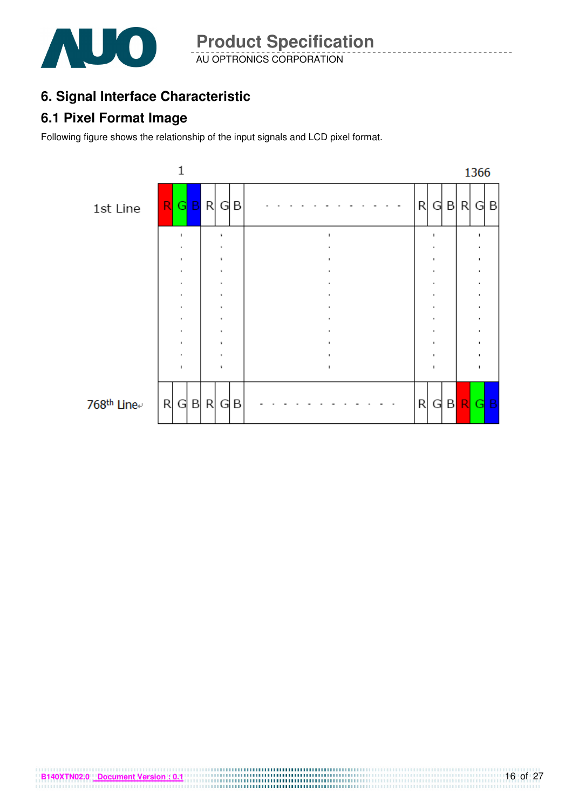

AU OPTRONICS CORPORATION **Product Specification** 

### **6. Signal Interface Characteristic**

### **6.1 Pixel Format Image**

Following figure shows the relationship of the input signals and LCD pixel format.

**B140XTN02.0** Document Version : 0.1

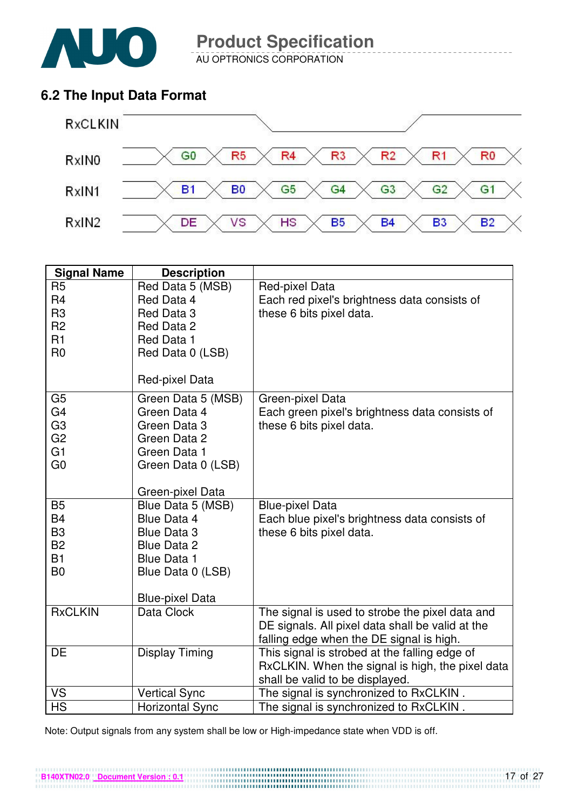

AU OPTRONICS CORPORATION

### **6.2 The Input Data Format**



| <b>Signal Name</b>     | <b>Description</b>                      |                                                  |
|------------------------|-----------------------------------------|--------------------------------------------------|
| R <sub>5</sub>         | Red Data 5 (MSB)                        | Red-pixel Data                                   |
| R <sub>4</sub>         | Red Data 4                              | Each red pixel's brightness data consists of     |
| R <sub>3</sub>         | Red Data 3                              | these 6 bits pixel data.                         |
| R <sub>2</sub>         | Red Data 2                              |                                                  |
| R1                     | Red Data 1                              |                                                  |
| R <sub>0</sub>         | Red Data 0 (LSB)                        |                                                  |
|                        | Red-pixel Data                          |                                                  |
| G <sub>5</sub>         | Green Data 5 (MSB)                      | Green-pixel Data                                 |
| G4                     | Green Data 4                            | Each green pixel's brightness data consists of   |
| G <sub>3</sub>         | Green Data 3                            | these 6 bits pixel data.                         |
| G <sub>2</sub>         | Green Data 2                            |                                                  |
| G <sub>1</sub>         | Green Data 1                            |                                                  |
| G <sub>0</sub>         | Green Data 0 (LSB)                      |                                                  |
|                        | Green-pixel Data                        |                                                  |
| <b>B5</b>              | Blue Data 5 (MSB)                       | <b>Blue-pixel Data</b>                           |
| <b>B4</b>              | Blue Data 4                             | Each blue pixel's brightness data consists of    |
| B <sub>3</sub>         | <b>Blue Data 3</b>                      | these 6 bits pixel data.                         |
| <b>B2</b><br><b>B1</b> | <b>Blue Data 2</b>                      |                                                  |
| B <sub>0</sub>         | <b>Blue Data 1</b><br>Blue Data 0 (LSB) |                                                  |
|                        |                                         |                                                  |
|                        | <b>Blue-pixel Data</b>                  |                                                  |
| <b>RxCLKIN</b>         | Data Clock                              | The signal is used to strobe the pixel data and  |
|                        |                                         | DE signals. All pixel data shall be valid at the |
|                        |                                         | falling edge when the DE signal is high.         |
| DE                     | <b>Display Timing</b>                   | This signal is strobed at the falling edge of    |
|                        |                                         | RxCLKIN. When the signal is high, the pixel data |
|                        |                                         | shall be valid to be displayed.                  |
| VS<br><b>HS</b>        | <b>Vertical Sync</b>                    | The signal is synchronized to RxCLKIN.           |
|                        | <b>Horizontal Sync</b>                  | The signal is synchronized to RxCLKIN.           |

Note: Output signals from any system shall be low or High-impedance state when VDD is off.

**B140XTN02.0 Document Version : 0.1**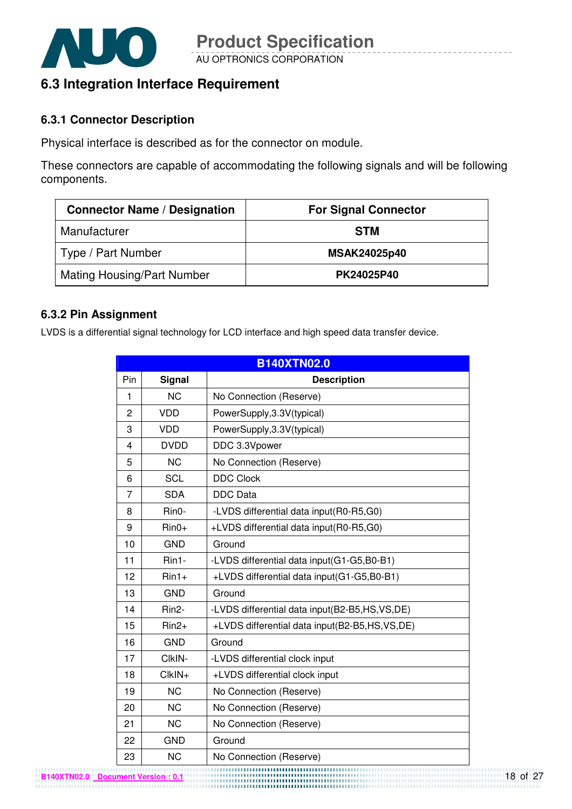

### **6.3 Integration Interface Requirement**

#### **6.3.1 Connector Description**

Physical interface is described as for the connector on module.

These connectors are capable of accommodating the following signals and will be following components.

| <b>Connector Name / Designation</b> | <b>For Signal Connector</b> |
|-------------------------------------|-----------------------------|
| Manufacturer                        | <b>STM</b>                  |
| Type / Part Number                  | <b>MSAK24025p40</b>         |
| <b>Mating Housing/Part Number</b>   | PK24025P40                  |

#### **6.3.2 Pin Assignment**

LVDS is a differential signal technology for LCD interface and high speed data transfer device.

|                |                    | <b>B140XTN02.0</b>                            |
|----------------|--------------------|-----------------------------------------------|
| Pin            | <b>Signal</b>      | <b>Description</b>                            |
| 1              | <b>NC</b>          | No Connection (Reserve)                       |
| $\overline{2}$ | <b>VDD</b>         | PowerSupply, 3.3V(typical)                    |
| 3              | <b>VDD</b>         | PowerSupply, 3.3V(typical)                    |
| 4              | <b>DVDD</b>        | DDC 3.3Vpower                                 |
| 5              | <b>NC</b>          | No Connection (Reserve)                       |
| 6              | <b>SCL</b>         | <b>DDC Clock</b>                              |
| 7              | <b>SDA</b>         | <b>DDC</b> Data                               |
| 8              | Rin0-              | -LVDS differential data input(R0-R5,G0)       |
| 9              | $Rin0+$            | +LVDS differential data input(R0-R5,G0)       |
| 10             | <b>GND</b>         | Ground                                        |
| 11             | Rin1-              | -LVDS differential data input(G1-G5,B0-B1)    |
| 12             | $Rin1+$            | +LVDS differential data input(G1-G5,B0-B1)    |
| 13             | <b>GND</b>         | Ground                                        |
| 14             | Rin <sub>2</sub> - | -LVDS differential data input(B2-B5,HS,VS,DE) |
| 15             | $Rin2+$            | +LVDS differential data input(B2-B5,HS,VS,DE) |
| 16             | <b>GND</b>         | Ground                                        |
| 17             | CIkIN-             | -LVDS differential clock input                |
| 18             | CIkIN+             | +LVDS differential clock input                |
| 19             | <b>NC</b>          | No Connection (Reserve)                       |
| 20             | <b>NC</b>          | No Connection (Reserve)                       |
| 21             | <b>NC</b>          | No Connection (Reserve)                       |
| 22             | <b>GND</b>         | Ground                                        |
| 23             | <b>NC</b>          | No Connection (Reserve)                       |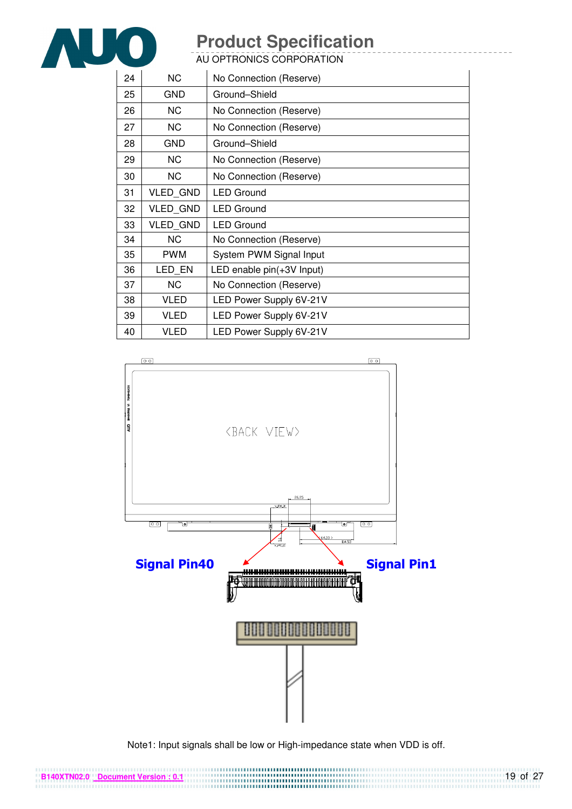

AU OPTRONICS CORPORATION

| 24 | <b>NC</b>       | No Connection (Reserve)   |
|----|-----------------|---------------------------|
| 25 | GND             | Ground-Shield             |
| 26 | <b>NC</b>       | No Connection (Reserve)   |
| 27 | <b>NC</b>       | No Connection (Reserve)   |
| 28 | GND             | Ground-Shield             |
| 29 | <b>NC</b>       | No Connection (Reserve)   |
| 30 | NC.             | No Connection (Reserve)   |
| 31 | VLED_GND        | <b>LED Ground</b>         |
| 32 | <b>VLED GND</b> | <b>LED Ground</b>         |
| 33 | <b>VLED GND</b> | <b>LED Ground</b>         |
| 34 | <b>NC</b>       | No Connection (Reserve)   |
| 35 | <b>PWM</b>      | System PWM Signal Input   |
| 36 | LED EN          | LED enable pin(+3V Input) |
| 37 | <b>NC</b>       | No Connection (Reserve)   |
| 38 | VLED            | LED Power Supply 6V-21V   |
| 39 | <b>VLED</b>     | LED Power Supply 6V-21V   |
| 40 | VLED            | LED Power Supply 6V-21V   |



Note1: Input signals shall be low or High-impedance state when VDD is off.

**B140XTN02.0 Document Version : 0.1**

19 of 27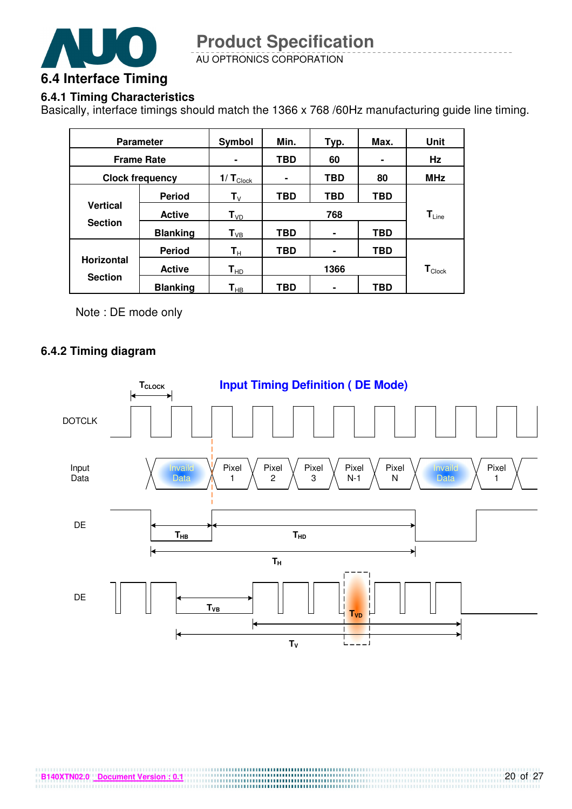

### **6.4.1 Timing Characteristics**

Basically, interface timings should match the 1366 x 768 /60Hz manufacturing guide line timing.

| <b>Parameter</b>                  |                 | Symbol                     | Min.       | Typ. | Max.                          | Unit       |
|-----------------------------------|-----------------|----------------------------|------------|------|-------------------------------|------------|
| <b>Frame Rate</b>                 |                 |                            | TBD<br>60  |      | Hz                            |            |
| <b>Clock frequency</b>            |                 | 1/ $T_{\text{Clock}}$      | ۰          | TBD  | 80                            | <b>MHz</b> |
|                                   | <b>Period</b>   | $\mathsf{T}_{\mathsf{V}}$  | <b>TBD</b> | TBD  | TBD                           |            |
| <b>Vertical</b><br><b>Section</b> | <b>Active</b>   | $T_{VD}$                   | 768        |      | $T_{Line}$                    |            |
|                                   | <b>Blanking</b> | $T_{VB}$                   | <b>TBD</b> | ۰    | TBD                           |            |
|                                   | <b>Period</b>   | $\mathbf{T}_{\mathsf{H}}$  | <b>TBD</b> | ۰    | <b>TBD</b>                    |            |
| <b>Horizontal</b>                 | <b>Active</b>   | $T_{HD}$                   | 1366       |      | $\mathsf{T}_{\mathsf{Clock}}$ |            |
| <b>Section</b>                    | <b>Blanking</b> | $\mathsf{T}_{\mathsf{HB}}$ | TBD        | ۰    | TBD                           |            |

Note : DE mode only

#### **6.4.2 Timing diagram**

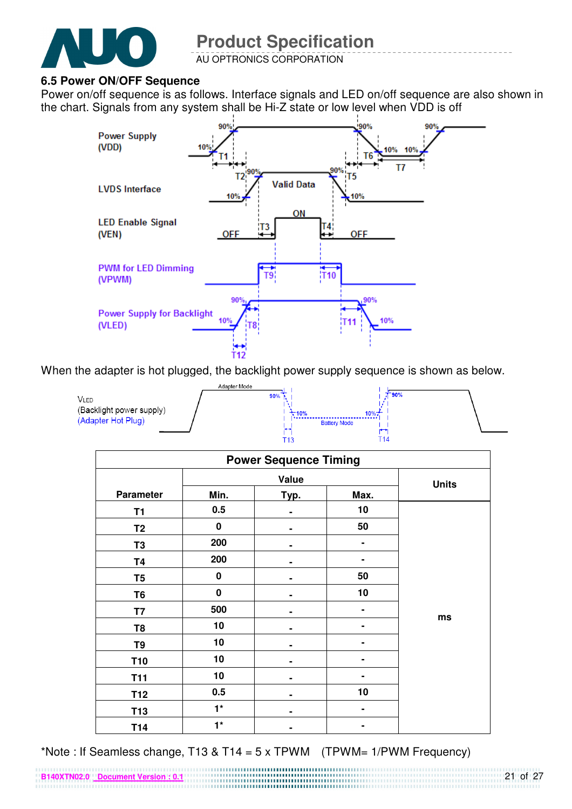

#### **6.5 Power ON/OFF Sequence**

Power on/off sequence is as follows. Interface signals and LED on/off sequence are also shown in the chart. Signals from any system shall be Hi-Z state or low level when VDD is off



When the adapter is hot plugged, the backlight power supply sequence is shown as below.

|                                                        | Adapter Mode |                                    |       |  |
|--------------------------------------------------------|--------------|------------------------------------|-------|--|
| VLED<br>(Backlight power supply)<br>(Adapter Hot Plug) | 90%          | 10%<br>-10%<br><b>Battery Mode</b> | T 90% |  |

| <b>Power Sequence Timing</b> |           |      |      |              |  |  |
|------------------------------|-----------|------|------|--------------|--|--|
|                              | Value     |      |      |              |  |  |
| <b>Parameter</b>             | Min.      | Typ. | Max. | <b>Units</b> |  |  |
| <b>T1</b>                    | 0.5       |      | 10   |              |  |  |
| T <sub>2</sub>               | 0         |      | 50   |              |  |  |
| T <sub>3</sub>               | 200       |      | ۰    |              |  |  |
| <b>T4</b>                    | 200       |      |      |              |  |  |
| T <sub>5</sub>               | $\pmb{0}$ |      | 50   |              |  |  |
| T <sub>6</sub>               | $\pmb{0}$ |      | 10   |              |  |  |
| T7                           | 500       | ٠    |      |              |  |  |
| T <sub>8</sub>               | 10        |      |      | ms           |  |  |
| T <sub>9</sub>               | 10        |      |      |              |  |  |
| <b>T10</b>                   | 10        |      |      |              |  |  |
| <b>T11</b>                   | 10        |      |      |              |  |  |
| T <sub>12</sub>              | 0.5       |      | 10   |              |  |  |
| T <sub>13</sub>              | $1^*$     |      | ۰    |              |  |  |
| T14                          | $1^*$     |      |      |              |  |  |

\*Note : If Seamless change, T13 & T14 = 5 x TPWM  $(TPWM = 1/PWM$  Frequency)

**B140XTN02.0 Document Version : 0.1**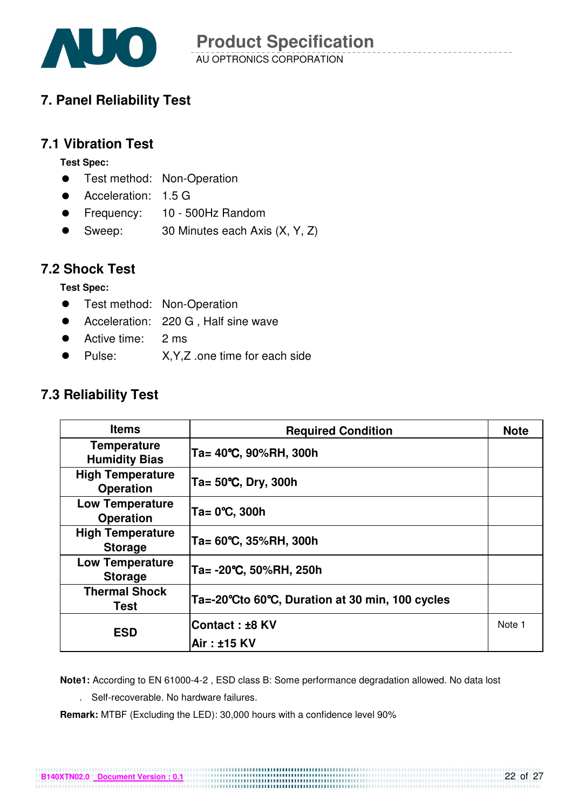

### **7. Panel Reliability Test**

### **7.1 Vibration Test**

**Test Spec:** 

- **•** Test method: Non-Operation
- Acceleration: 1.5 G
- Frequency: 10 500Hz Random
- Sweep: 30 Minutes each Axis (X, Y, Z)

### **7.2 Shock Test**

**Test Spec:** 

- **•** Test method: Non-Operation
- Acceleration: 220 G, Half sine wave
- Active time: 2 ms
- Pulse: X, Y, Z .one time for each side

### **7.3 Reliability Test**

| <b>Items</b>                                | <b>Required Condition</b>                       | <b>Note</b> |
|---------------------------------------------|-------------------------------------------------|-------------|
| <b>Temperature</b><br><b>Humidity Bias</b>  | Ta= 40°C, 90%RH, 300h                           |             |
| <b>High Temperature</b><br><b>Operation</b> | Ta= $50^{\circ}$ C, Dry, 300h                   |             |
| <b>Low Temperature</b><br><b>Operation</b>  | Ta= 0°C, 300h                                   |             |
| <b>High Temperature</b><br><b>Storage</b>   | Ta= 60°C, 35%RH, 300h                           |             |
| <b>Low Temperature</b><br><b>Storage</b>    | Ta= -20°C, 50%RH, 250h                          |             |
| <b>Thermal Shock</b><br>Test                | Ta=-20°Cto 60°C, Duration at 30 min, 100 cycles |             |
| <b>ESD</b>                                  | Contact: ±8 KV                                  | Note 1      |
|                                             | Air: ±15 KV                                     |             |

**Note1:** According to EN 61000-4-2 , ESD class B: Some performance degradation allowed. No data lost

. Self-recoverable. No hardware failures.

**Remark:** MTBF (Excluding the LED): 30,000 hours with a confidence level 90%

**B140XTN02.0 Document Version : 0.1**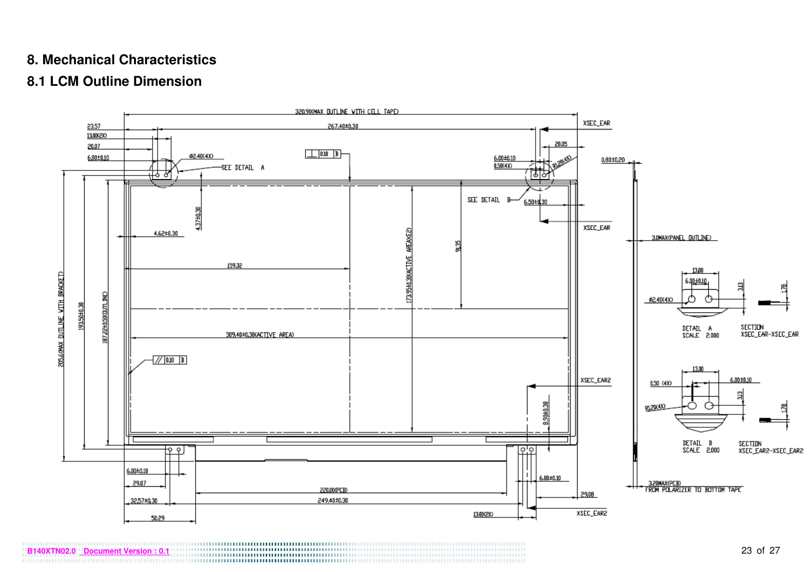### **8. Mechanical Characteristics**

### **8.1 LCM Outline Dimension**



**B140XTN02.0** Pocument Version : 0.1 23 of 27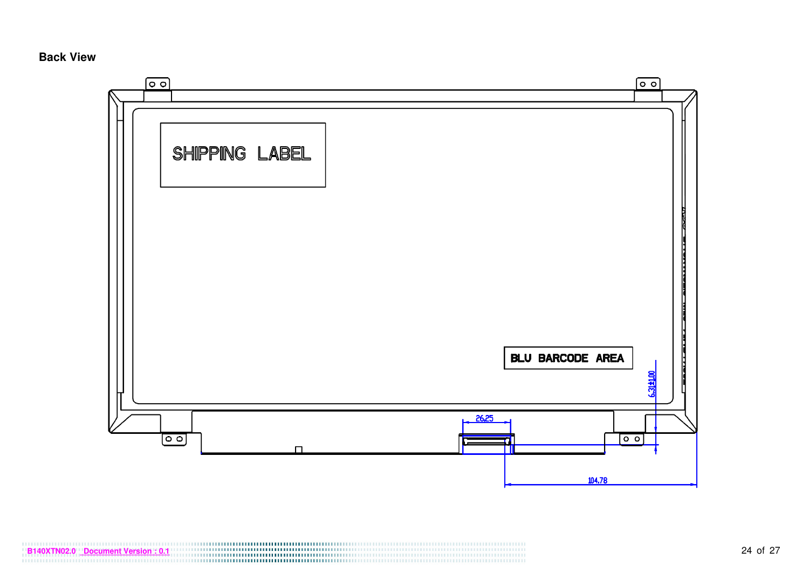#### **Back View**

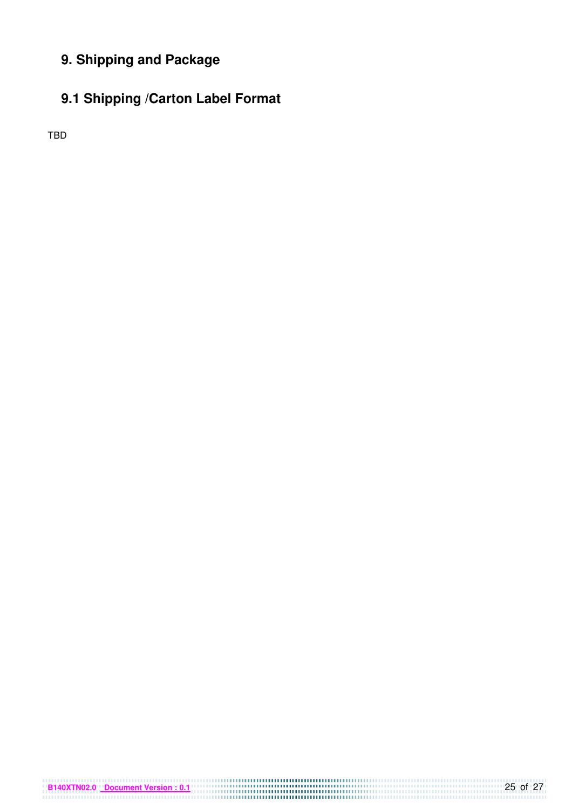### **9. Shipping and Package**

### **9.1 Shipping /Carton Label Format**

TBD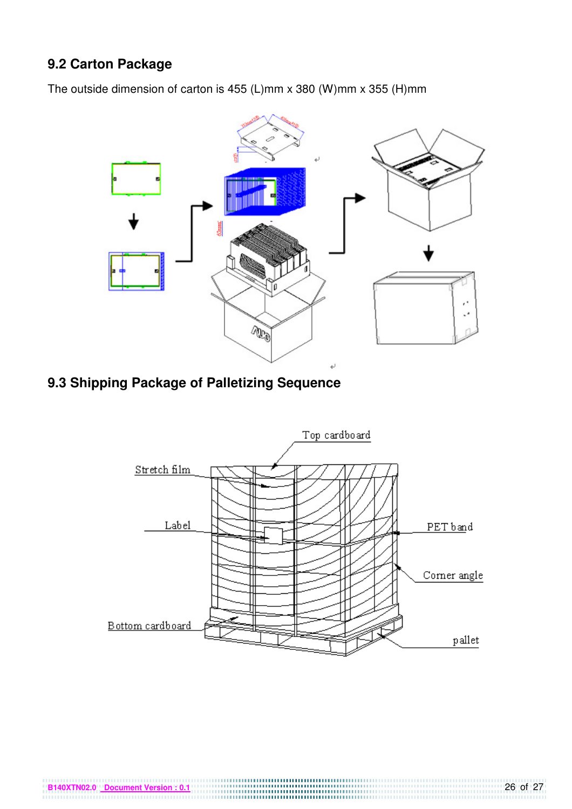### **9.2 Carton Package**

The outside dimension of carton is 455 (L)mm x 380 (W)mm x 355 (H)mm



### **9.3 Shipping Package of Palletizing Sequence**